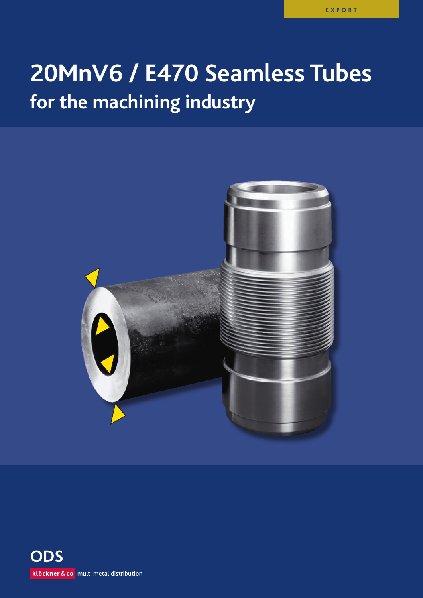# **20MnV6 / E470 Seamless tubes for the machining industry**



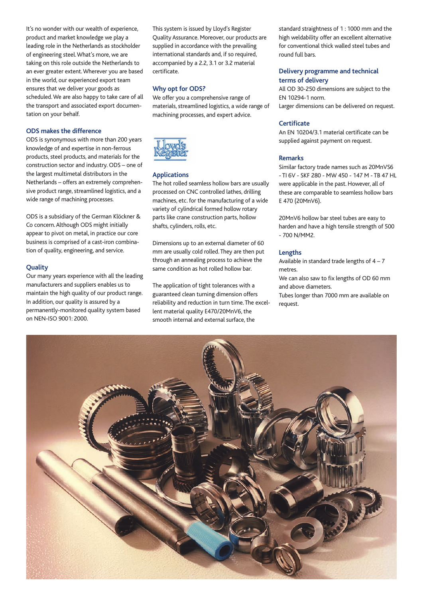It's no wonder with our wealth of experience, product and market knowledge we play a leading role in the Netherlands as stockholder of engineering steel. What's more, we are taking on this role outside the Netherlands to an ever greater extent. Wherever you are based in the world, our experienced export team ensures that we deliver your goods as scheduled. We are also happy to take care of all the transport and associated export documentation on your behalf.

## **ODS makes the difference**

ODS is synonymous with more than 200 years knowledge of and expertise in non-ferrous products, steel products, and materials for the construction sector and industry. ODS – one of the largest multimetal distributors in the Netherlands – offers an extremely comprehensive product range, streamlined logistics, and a wide range of machining processes.

ODS is a subsidiary of the German Klöckner & Co concern. Although ODS might initially appear to pivot on metal, in practice our core business is comprised of a cast-iron combination of quality, engineering, and service.

### **Quality**

Our many years experience with all the leading manufacturers and suppliers enables us to maintain the high quality of our product range. In addition, our quality is assured by a permanently-monitored quality system based on NEN-ISO 9001: 2000.

This system is issued by Lloyd's Register Quality Assurance. Moreover, our products are supplied in accordance with the prevailing international standards and, if so required, accompanied by a 2.2, 3.1 or 3.2 material certificate.

## **Why opt for ODS?**

We offer you a comprehensive range of materials, streamlined logistics, a wide range of machining processes, and expert advice.



#### **Applications**

The hot rolled seamless hollow bars are usually processed on CNC controlled lathes, drilling machines, etc. for the manufacturing of a wide variety of cylindrical formed hollow rotary parts like crane construction parts, hollow shafts, cylinders, rolls, etc.

Dimensions up to an external diameter of 60 mm are usually cold rolled. They are then put through an annealing process to achieve the same condition as hot rolled hollow bar.

The application of tight tolerances with a guaranteed clean turning dimension offers reliability and reduction in turn time. The excellent material quality E470/20MnV6, the smooth internal and external surface, the

standard straightness of 1 : 1000 mm and the high weldability offer an excellent alternative for conventional thick walled steel tubes and round full bars.

## **Delivery programme and technical terms of delivery**

All OD 30-250 dimensions are subject to the EN 10294-1 norm. Larger dimensions can be delivered on request.

#### **Certificate**

An EN 10204/3.1 material certificate can be supplied against payment on request.

#### **Remarks**

Similar factory trade names such as 20MnVS6 - TI 6V - SKF 280 - MW 450 - 147 M - TB 47 HL were applicable in the past. However, all of these are comparable to seamless hollow bars E 470 (20MnV6).

20MnV6 hollow bar steel tubes are easy to harden and have a high tensile strength of 500 - 700 N/MM2.

## **Lengths**

Available in standard trade lengths of  $4 - 7$ metres.

We can also saw to fix lengths of OD 60 mm and above diameters.

Tubes longer than 7000 mm are available on request.

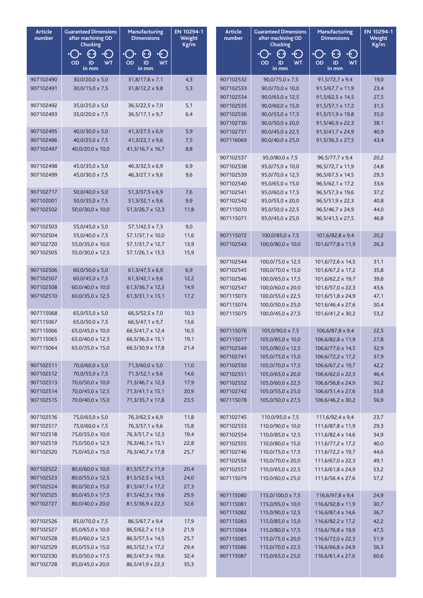| Article<br>number      | <b>Guaranteed Dimensions</b><br>after machining OD<br>Chucking | Manufacturing<br><b>Dimensions</b>                         | EN 10294-1<br>Article<br>Weight<br>number<br>Kg/m |                        | <b>Guaranteed Dimensions</b><br>after machining OD<br>Chucking | <b>Manufacturing</b><br><b>Dimensions</b>                 | EN 10294-1<br>Weight<br>Kg/m |
|------------------------|----------------------------------------------------------------|------------------------------------------------------------|---------------------------------------------------|------------------------|----------------------------------------------------------------|-----------------------------------------------------------|------------------------------|
|                        | (4 P)<br>•(⊖<br><b>WT</b><br>OD<br>ID<br>in mm                 | $\left($<br>(4 D)<br><b>WT</b><br><b>OD</b><br>ID<br>in mm |                                                   |                        | $\cdot$ ( )<br>(4 D)<br>OD<br>WT<br>ID<br>in mm                | $\cdot C$<br>$\epsilon$<br>OD<br>ID<br><b>WT</b><br>in mm |                              |
| 907102490              | $30,0/20,0 \times 5,0$                                         | 31,8/17,6 x 7,1                                            | 4,3                                               | 907102532              | $90,0/75,0 \times 7,5$                                         | $91,5/72,7 \times 9,4$                                    | 19,0                         |
| 907102491              | 30,0/15,0 x 7,5                                                | $31,8/12,2 \times 9,8$                                     | 5,3                                               | 907102533              | 90,0/70,0 x 10,0                                               | 91,5/67,7 x 11,9                                          | 23,4                         |
|                        |                                                                |                                                            |                                                   | 907102534              | 90,0/65,0 x 12,5                                               | 91,5/62,5 x 14,5                                          | 27,5                         |
| 907102492              | 35,0/25,0 x 5,0                                                | 36,5/22,5 x 7,0                                            | 5,1                                               | 907102535              | 90,0/60,0 x 15,0                                               | $91,5/57,1 \times 17,2$                                   | 31,5                         |
| 907102493              | 35,0/20,0 x 7,5                                                | $36,5/17,1 \times 9,7$                                     | 6,4                                               | 907102536              | 90,0/55,0 x 17,5                                               | 91,5/51,9 x 19,8                                          | 35,0                         |
|                        |                                                                |                                                            |                                                   | 907102730              | 90,0/50,0 x 20,0                                               | 91,5/46,9 x 22,3                                          | 38,1                         |
| 907102495              | $40,0/30,0 \times 5,0$                                         | $41,3/27,5 \times 6,9$                                     | 5,9                                               | 907102731              | $90,0/45,0 \times 22,5$                                        | 91,5/41,7 x 24,9                                          | 40,9                         |
| 907102496              | $40,0/25,0 \times 7,5$                                         | $41,3/22,1 \times 9,6$                                     | 7,5                                               | 907116069              | 90,0/40,0 x 25,0                                               | 91,5/36,5 x 27,5                                          | 43,4                         |
| 907102497              | 40,0/20,0 x 10,0                                               | 41,3/16,7 x 16,7                                           | 8,8                                               | 907102537              | 95,0/80,0 x 7,5                                                | 96,5/77,7 x 9,4                                           | 20,2                         |
| 907102498              | 45,0/35,0 x 5,0                                                | 46,3/32,5 x 6,9                                            | 6,9                                               | 907102538              | 95,0/75,0 x 10,0                                               | 96,5/72,7 x 11,9                                          | 24,8                         |
| 907102499              | 45,0/30,0 x 7,5                                                | 46,3/27,1 x 9,6                                            | 9,6                                               | 907102539              | 95,0/70,0 x 12,5                                               | 96,5/67,5 x 14,5                                          | 29,3                         |
|                        |                                                                |                                                            |                                                   | 907102540              | 95,0/65,0 x 15,0                                               | 96,5/62,1 x 17,2                                          | 33,6                         |
| 907102717              | 50,0/40,0 x 5,0                                                | $51,3/37,5 \times 6,9$                                     | 7,6                                               | 907102541              | 95,0/60,0 x 17,5                                               | 96,5/57,3 x 19,6                                          | 37,2                         |
| 907102001              | 50,0/35,0 x 7,5                                                | 51,3/32,1 x 9,6                                            | 9,9                                               | 907102542              | 95,0/55,0 x 20,0                                               | 96,5/51,9 x 22,3                                          | 40,8                         |
| 907102502              | 50,0/30,0 x 10,0                                               | 51,3/26,7 x 12,3                                           | 11,8                                              | 907115070              | 95,0/50,0 x 22,5                                               | 96,5/46,7 x 24,9                                          | 44,0                         |
|                        |                                                                |                                                            |                                                   | 907115071              | 95,0/45,0 x 25,0                                               | 96,5/41,5 x 27,5                                          | 46,8                         |
| 907102503              | 55,0/45,0 x 5,0                                                | 57, 1/42, 5 x 7, 3                                         | 9,0                                               |                        |                                                                |                                                           |                              |
| 907102504              | 55,0/40,0 x 7,5                                                | 57,1/37,1 x 10,0                                           | 11,6                                              | 907115072              | 100,0/85,0 x 7,5                                               | 101,6/82,8 x 9,4                                          | 20,2                         |
| 907102720<br>907102505 | 55,0/35,0 x 10,0                                               | 57,1/31,7 x 12,7                                           | 13,9                                              | 907102543              | 100,0/80,0 x 10,0                                              | 101,6/77,8 x 11,9                                         | 26,3                         |
|                        | 55,0/30,0 x 12,5                                               | 57,1/26,1 x 15,5                                           | 15,9                                              | 907102544              | 100,0/75,0 x 12,5                                              | 101,6/72,6 x 14,5                                         | 31,1                         |
| 907102506              | $60,0/50,0 \times 5,0$                                         | $61,3/47,5 \times 6,9$                                     | 6,9                                               | 907102545              | 100,0/70,0 x 15,0                                              | 101,6/67,2 x 17,2                                         | 35,8                         |
| 907102507              | $60,0/45,0 \times 7,5$                                         | 61,3/42,1 x 9,6                                            | 12,2                                              | 907102546              | 100,0/65,0 x 17,5                                              | 101,6/62,2 x 19,7                                         | 39,8                         |
| 907102508              | 60,0/40,0 x 10,0                                               | 61,3/36,7 x 12,3                                           | 14,9                                              | 907102547              | 100,0/60,0 x 20,0                                              | 101,6/57,0 x 22,3                                         | 43,6                         |
| 907102510              | 60,0/35,0 x 12,5                                               | 61,3/31,1 x 15,1                                           | 17,2                                              | 907115073              | 100,0/55,0 x 22,5                                              | 101,6/51,8 x 24,9                                         | 47,1                         |
|                        |                                                                |                                                            |                                                   | 907115074              | 100,0/50,0 x 25,0                                              | 101,6/46,4 x 27,6                                         | 50,4                         |
| 907115068              | 65,0/55,0 x 5,0                                                | 66,5/52,5 x 7,0                                            | 10,3                                              | 907115075              | 100,0/45,0 x 27,5                                              | 101,6/41,2 x 30,2                                         | 53,2                         |
| 907115067              | 65,0/50,0 x 7,5                                                | 66,5/47,1 x 9,7                                            | 13,6                                              |                        |                                                                |                                                           |                              |
| 907115066              | 65,0/45,0 x 10,0                                               | 66,5/41,7 x 12,4                                           | 16,5                                              | 907115076              | 105,0/90,0 x 7,5                                               | 106,6/87,8 x 9,4                                          | 22,5                         |
| 907115065              | 65,0/40,0 x 12,5                                               | 66,5/36,3 x 15,1                                           | 19,1                                              | 907115077              | 105,0/85,0 x 10,0                                              | 106,6/82,8 x 11,9                                         | 27,8                         |
| 907115064              | 65,0/35,0 x 15,0                                               | 66,5/30,9 x 17,8                                           | 21,4                                              | 907102549<br>907102741 | 105,0/80,0 x 12,5<br>105,0/75,0 x 15,0                         | 106,6/77,6 x 14,5<br>106,6/72,2 x 17,2                    | 32,9<br>37,9                 |
| 907102511              | 70,0/60,0 x 5,0                                                | 71,3/60,0 x 5,0                                            | 11,0                                              | 907102550              | 105,0/70,0 x 17,5                                              | 106,6/67,2 x 19,7                                         | 42,2                         |
| 907102512              | 70,0/55,0 x 7,5                                                | 71,3/52,1 x 9,6                                            | 14,6                                              | 907102551              | 105,0/65,0 x 20,0                                              | 106,6/62,0 x 22,3                                         | 46,4                         |
| 907102513              | 70,0/50,0 x 10,0                                               | 71,3/46,7 x 12,3                                           | 17,9                                              | 907102552              | 105,0/60,0 x 22,5                                              | 106,6/56,8 x 24,9                                         | 50,2                         |
| 907102514              | 70,0/45,0 x 12,5                                               | 71,3/41,1 x 15,1                                           | 20,9                                              | 907102742              | 105,0/55,0 x 25,0                                              | 106,6/51,4 x 27,6                                         | 53,8                         |
| 907102515              | 70,0/40,0 x 15,0                                               | 71,3/35,7 x 17,8                                           | 23,5                                              | 907115078              | 105,0/50,0 x 27,5                                              | 106,6/46,2 x 30,2                                         | 56,9                         |
|                        |                                                                |                                                            |                                                   |                        |                                                                |                                                           |                              |
| 907102516              | 75,0/65,0 x 5,0                                                | 76,3/62,5 x 6,9                                            | 11,8                                              | 907102745              | 110,0/95,0 x 7,5                                               | 111,6/92,4 x 9,4                                          | 23,7                         |
| 907102517<br>907102518 | 75,0/60,0 x 7,5                                                | 76, 3/57, 1 x 9, 6                                         | 15,8                                              | 907102553              | 110,0/90,0 x 10,0                                              | 111,6/87,8 x 11,9                                         | 29,3                         |
| 907102519              | 75,0/55,0 x 10,0<br>75,0/50,0 x 12,5                           | 76, 3/51, 7 x 12, 3<br>76, 3/46, 1 x 15, 1                 | 19,4<br>22,8                                      | 907102554<br>907102555 | 110,0/85,0 x 12,5<br>110,0/80,0 x 15,0                         | 111,6/82,4 x 14,6<br>111,6/77,2 x 17,2                    | 34,9<br>40,0                 |
| 907102520              | 75,0/45,0 x 15,0                                               | 76, 3/40, 7 x 17, 8                                        | 25,7                                              | 907102746              | 110,0/75,0 x 17,5                                              | 111,6/72,2 x 19,7                                         | 44,6                         |
|                        |                                                                |                                                            |                                                   | 907102556              | 110,0/70,0 x 20,0                                              | 111,6/67,0 x 22,3                                         | 49,1                         |
| 907102522              | 80,0/60,0 x 10,0                                               | 81,5/57,7 x 11,9                                           | 20,4                                              | 907102557              | 110,0/65,0 x 22,5                                              | 111,6/61,8 x 24,9                                         | 53,2                         |
| 907102523              | 80,0/55,0 x 12,5                                               | 81,5/52,5 x 14,5                                           | 24,0                                              | 907115079              | 110,0/60,0 x 25,0                                              | 111,6/56,4 x 27,6                                         | 57,2                         |
| 907102524              | 80,0/50,0 x 15,0                                               | 81,5/47,1 x 17,2                                           | 27,3                                              |                        |                                                                |                                                           |                              |
| 907102525              | 80,0/45,0 x 17,5                                               | 81,5/42,3 x 19,6                                           | 29,9                                              | 907115080              | 115,0/100,0 x 7,5                                              | 116,6/97,8 x 9,4                                          | 24,9                         |
| 907102727              | 80,0/40,0 x 20,0                                               | 81,5/36,9 x 22,3                                           | 32,6                                              | 907115081              | 115,0/95,0 x 10,0                                              | 116,6/92,8 x 11,9                                         | 30,7                         |
|                        |                                                                |                                                            |                                                   | 907115082              | 115,0/90,0 x 12,5                                              | 116,6/87,4 x 14,6                                         | 36,7                         |
| 907102526              | 85,0/70,0 x 7,5                                                | 86,5/67,7 x 9,4                                            | 17,9                                              | 907115083              | 115,0/85,0 x 15,0                                              | 116,6/82,2 x 17,2                                         | 42,2                         |
| 907102527<br>907102528 | 85,0/65,0 x 10,0<br>85,0/60,0 x 12,5                           | 86,5/62,7 x 11,9<br>86,5/57,5 x 14,5                       | 21,9<br>25,7                                      | 907115084              | 115,0/80,0 x 17,5                                              | 116,6/76,8 x 19,9                                         | 47,5                         |
| 907102529              | 85,0/55,0 x 15,0                                               | 86,5/52,1 x 17,2                                           | 29,4                                              | 907115085<br>907115086 | 115,0/75,0 x 20,0<br>115,0/70,0 x 22,5                         | 116,6/72,0 x 22,3<br>116,6/66,8 x 24,9                    | 51,9<br>56,3                 |
| 907102530              | 85,0/50,0 x 17,5                                               | 86,5/47,3 x 19,6                                           | 32,4                                              | 907115087              | 115,0/65,0 x 25,0                                              | 116,6/61,4 x 27,6                                         | 60,6                         |
| 907102728              | 85,0/45,0 x 20,0                                               | 86,5/41,9 x 22,3                                           | 35,3                                              |                        |                                                                |                                                           |                              |
|                        |                                                                |                                                            |                                                   |                        |                                                                |                                                           |                              |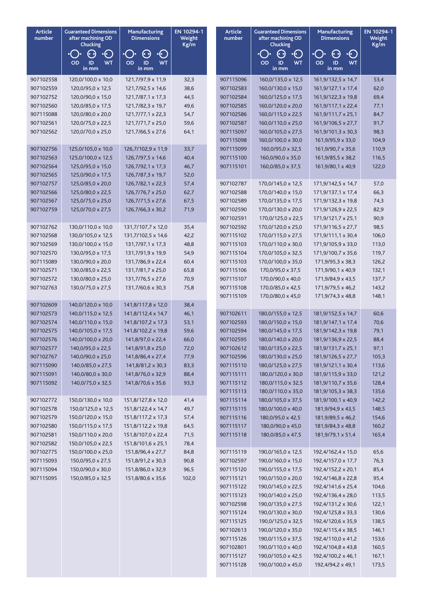| <b>Article</b><br>number | <b>Guaranteed Dimensions</b><br>after machining OD<br>Chucking | Manufacturing<br><b>Dimensions</b>                    | EN 10294-1<br>Article<br>Weight<br>number<br>Kg/m |                        | <b>Guaranteed Dimensions</b><br>after machining OD<br>Chucking | <b>Manufacturing</b><br><b>Dimensions</b>          | EN 10294-1<br>Weight<br>Kg/m |
|--------------------------|----------------------------------------------------------------|-------------------------------------------------------|---------------------------------------------------|------------------------|----------------------------------------------------------------|----------------------------------------------------|------------------------------|
|                          | (+ +)<br>$\cdot$ (<br>ะ( ่<br><b>WT</b><br><b>OD</b><br>ID     | $\cdot \odot$<br>( •)<br><b>OD</b><br>ID<br><b>WT</b> |                                                   |                        | (4 M<br>$\cdot ( \cdot )$<br>OD<br><b>WT</b><br>ID             | $\cdot \odot$<br>$\Theta$<br>OD<br><b>WT</b><br>ID |                              |
|                          | in mm                                                          | in mm                                                 |                                                   |                        | in mm                                                          | in mm                                              |                              |
| 907102558                | 120,0/100,0 x 10,0                                             | 121,7/97,9 x 11,9                                     | 32,3                                              | 907115096              | 160,0/135,0 x 12,5                                             | 161,9/132,5 x 14,7                                 | 53,4                         |
| 907102559                | 120,0/95,0 x 12,5                                              | 121,7/92,5 x 14,6                                     | 38,6                                              | 907102583              | 160,0/130,0 x 15,0                                             | 161, 9/127, 1 x 17, 4                              | 62,0                         |
| 907102752                | 120,0/90,0 x 15,0                                              | 121,7/87,1 x 17,3                                     | 44,5                                              | 907102584              | 160,0/125,0 x 17,5                                             | 161,9/122,3 x 19,8                                 | 69,4                         |
| 907102560<br>907115088   | 120,0/85,0 x 17,5                                              | 121,7/82,3 x 19,7                                     | 49,6                                              | 907102585              | 160,0/120,0 x 20,0                                             | 161,9/117,1 x 22,4                                 | 77,1                         |
| 907102561                | 120,0/80,0 x 20,0<br>120,0/75,0 x 22,5                         | 121,7/77,1 x 22,3<br>121,7/71,7 x 25,0                | 54,7<br>59,6                                      | 907102586<br>907102587 | 160,0/115,0 x 22,5<br>160,0/110,0 x 25,0                       | 161,9/111,7 x 25,1<br>161,9/106,5 x 27,7           | 84,7<br>91,7                 |
| 907102562                | 120,0/70,0 x 25,0                                              | 121,7/66,5 x 27,6                                     | 64,1                                              | 907115097              | 160,0/105,0 x 27,5                                             | 161,9/101,3 x 30,3                                 | 98,3                         |
|                          |                                                                |                                                       |                                                   | 907115098              | 160,0/100,0 x 30,0                                             | 161,9/95,9 x 33,0                                  | 104,9                        |
| 907102756                | 125,0/105,0 x 10,0                                             | 126,7/102,9 x 11,9                                    | 33,7                                              | 907115099              | 160,0/95,0 x 32,5                                              | 161,9/90,7 x 35,6                                  | 110,9                        |
| 907102563                | 125,0/100,0 x 12,5                                             | 126,7/97,5 x 14,6                                     | 40,4                                              | 907115100              | 160,0/90,0 x 35,0                                              | 161,9/85,5 x 38,2                                  | 116,5                        |
| 907102564                | 125,0/95,0 x 15,0                                              | 126,7/92,1 x 17,3                                     | 46,7                                              | 907115101              | 160,0/85,0 x 37,5                                              | 161,9/80,1 x 40,9                                  | 122,0                        |
| 907102565                | 125,0/90,0 x 17,5                                              | 126,7/87,3 x 19,7                                     | 52,0                                              |                        |                                                                |                                                    |                              |
| 907102757                | 125,0/85,0 x 20,0                                              | 126,7/82,1 x 22,3                                     | 57,4                                              | 907102787              | 170,0/145,0 x 12,5                                             | 171,9/142,5 x 14,7                                 | 57,0                         |
| 907102566                | 125,0/80,0 x 22,5                                              | 126,7/76,7 x 25,0                                     | 62,7                                              | 907102588              | 170,0/140,0 x 15,0                                             | 171,9/137,1 x 17,4                                 | 66,3                         |
| 907102567                | 125,0/75,0 x 25,0                                              | 126,7/71,5 x 27,6                                     | 67,5                                              | 907102589              | 170,0/135,0 x 17,5                                             | 171,9/132,3 x 19,8                                 | 74,3                         |
| 907102759                | 125,0/70,0 x 27,5                                              | 126,7/66,3 x 30,2                                     | 71,9                                              | 907102590              | 170,0/130,0 x 20,0                                             | 171,9/126,9 x 22,5                                 | 82,9                         |
|                          |                                                                |                                                       |                                                   | 907102591              | 170,0/125,0 x 22,5                                             | 171,9/121,7 x 25,1                                 | 90,9                         |
| 907102762                | 130,0/110,0 x 10,0                                             | 131,7/107,7 x 12,0                                    | 35,4                                              | 907102592              | 170,0/120,0 x 25,0                                             | 171,9/116,5 x 27,7                                 | 98,5                         |
| 907102568<br>907102569   | 130,0/105,0 x 12,5<br>130,0/100,0 x 15,0                       | 131,7/102,5 x 14,6<br>131,7/97,1 x 17,3               | 42,2<br>48,8                                      | 907115102<br>907115103 | 170,0/115,0 x 27,5<br>170,0/110,0 x 30,0                       | 171,9/111,1 x 30,4<br>171,9/105,9 x 33,0           | 106,0<br>113,0               |
| 907102570                | 130,0/95,0 x 17,5                                              | 131,7/91,9 x 19,9                                     | 54,9                                              | 907115104              | 170,0/105,0 x 32,5                                             | 171,9/100,7 x 35,6                                 | 119,7                        |
| 907115089                | 130,0/90,0 x 20,0                                              | 131,7/86,9 x 22,4                                     | 60,4                                              | 907115103              | 170,0/100,0 x 35,0                                             | 171,9/95,3 x 38,3                                  | 126,2                        |
| 907102571                | 130,0/85,0 x 22,5                                              | 131,7/81,7 x 25,0                                     | 65,8                                              | 907115106              | 170,0/95,0 x 37,5                                              | 171,9/90,1 x 40,9                                  | 132,1                        |
| 907102572                | 130,0/80,0 x 25,0                                              | 131,7/76,5 x 27,6                                     | 70,9                                              | 907115107              | 170,0/90,0 x 40,0                                              | 171,9/84,9 x 43,5                                  | 137,7                        |
| 907102763                | 130,0/75,0 x 27,5                                              | 131,7/60,6 x 30,3                                     | 75,8                                              | 907115108              | 170,0/85,0 x 42,5                                              | 171,9/79,5 x 46,2                                  | 143,2                        |
|                          |                                                                |                                                       |                                                   | 907115109              | 170,0/80,0 x 45,0                                              | 171,9/74,3 x 48,8                                  | 148,1                        |
| 907102609                | 140,0/120,0 x 10,0                                             | 141,8/117,8 x 12,0                                    | 38,4                                              |                        |                                                                |                                                    |                              |
| 907102573                | 140,0/115,0 x 12,5                                             | 141,8/112,4 x 14,7                                    | 46,1                                              | 907102611              | 180,0/155,0 x 12,5                                             | 181,9/152,5 x 14,7                                 | 60,6                         |
| 907102574                | 140,0/110,0 x 15,0                                             | 141,8/107,2 x 17,3                                    | 53,1                                              | 907102593              | 180,0/150,0 x 15,0                                             | 181, 9/147, 1 x 17, 4                              | 70,6                         |
| 907102575                | 140,0/105,0 x 17,5                                             | 141,8/102,2 x 19,8                                    | 59,6                                              | 907102594              | 180,0/145,0 x 17,5                                             | 181,9/142,3 x 19,8                                 | 79,1                         |
| 907102576                | 140,0/100,0 x 20,0                                             | 141,8/97,0 x 22,4                                     | 66,0                                              | 907102595              | 180,0/140,0 x 20,0                                             | 181,9/136,9 x 22,5                                 | 88,4                         |
| 907102577                | 140,0/95,0 x 22,5                                              | 141,8/91,8 x 25,0                                     | 72,0                                              | 907102612              | 180,0/135,0 x 22,5                                             | 181,9/131,7 x 25,1                                 | 97,1                         |
| 907102767                | 140,0/90,0 x 25,0                                              | 141,8/86,4 x 27,4                                     | 77,9                                              | 907102596              | 180,0/130,0 x 25,0                                             | 181,9/126,5 x 27,7                                 | 105,3                        |
| 907115090                | 140,0/85,0 x 27,5                                              | 141,8/81,2 x 30,3                                     | 83,3                                              | 907115110              | 180,0/125,0 x 27,5                                             | 181,9/121,1 x 30,4                                 | 113,6                        |
| 907115091                | 140,0/80,0 x 30,0                                              | 141,8/76,0 x 32,9                                     | 88,4                                              | 907115111              | 180,0/120,0 x 30,0                                             | 181,9/115,9 x 33,0                                 | 121,2                        |
| 907115092                | 140,0/75,0 x 32,5                                              | 141,8/70,6 x 35,6                                     | 93,3                                              | 907115112              | 180,0/115,0 x 32,5                                             | 181,9/110,7 x 35,6                                 | 128,4                        |
| 907102772                | 150,0/130,0 x 10,0                                             | 151,8/127,8 x 12,0                                    |                                                   | 907115113<br>907115114 | 180,0/110,0 x 35,0<br>180,0/105,0 x 37,5                       | 181,9/105,3 x 38,3<br>181,9/100,1 x 40,9           | 135,6<br>142,2               |
| 907102578                | 150,0/125,0 x 12,5                                             | 151,8/122,4 x 14,7                                    | 41,4<br>49,7                                      | 907115115              | 180,0/100,0 x 40,0                                             | 181,9/94,9 x 43,5                                  | 148,5                        |
| 907102579                | 150,0/120,0 x 15,0                                             | 151,8/117,2 x 17,3                                    | 57,4                                              | 907115116              | 180,0/95,0 x 42,5                                              | 181,9/89,5 x 46,2                                  | 154,6                        |
| 907102580                | 150,0/115,0 x 17,5                                             | 151,8/112,2 x 19,8                                    | 64,5                                              | 907115117              | 180,0/90,0 x 45,0                                              | 181,9/84,3 x 48,8                                  | 160,2                        |
| 907102581                | 150,0/110,0 x 20,0                                             | 151,8/107,0 x 22,4                                    | 71,5                                              | 907115118              | 180,0/85,0 x 47,5                                              | 181,9/79,1 x 51,4                                  | 165,4                        |
| 907102582                | 150,0/105,0 x 22,5                                             | 151,8/101,6 x 25,1                                    | 78,4                                              |                        |                                                                |                                                    |                              |
| 907102775                | 150,0/100,0 x 25,0                                             | 151,8/96,4 x 27,7                                     | 84,8                                              | 907115119              | 190,0/165,0 x 12,5                                             | 192,4/162,4 x 15,0                                 | 65,6                         |
| 907115093                | 150,0/95,0 x 27,5                                              | 151,8/91,2 x 30,3                                     | 90,8                                              | 907102597              | 190,0/160,0 x 15,0                                             | 192,4/157,0 x 17,7                                 | 76,3                         |
| 907115094                | 150,0/90,0 x 30,0                                              | 151,8/86,0 x 32,9                                     | 96,5                                              | 907115120              | 190,0/155,0 x 17,5                                             | 192,4/152,2 x 20,1                                 | 85,4                         |
| 907115095                | 150,0/85,0 x 32,5                                              | 151,8/80,6 x 35,6                                     | 102,0                                             | 907115121              | 190,0/150,0 x 20,0                                             | 192,4/146,8 x 22,8                                 | 95,4                         |
|                          |                                                                |                                                       |                                                   | 907115122              | 190,0/145,0 x 22,5                                             | 192,4/141,6 x 25,4                                 | 104,6                        |
|                          |                                                                |                                                       |                                                   | 907115123              | 190,0/140,0 x 25,0                                             | 192,4/136,4 x 28,0                                 | 113,5                        |
|                          |                                                                |                                                       |                                                   | 907102598              | 190,0/135,0 x 27,5                                             | 192,4/131,2 x 30,6                                 | 122,1                        |
|                          |                                                                |                                                       |                                                   | 907115124              | 190,0/130,0 x 30,0                                             | 192,4/125,8 x 33,3                                 | 130,6                        |
|                          |                                                                |                                                       |                                                   | 907115125              | 190,0/125,0 x 32,5                                             | 192,4/120,6 x 35,9                                 | 138,5                        |
|                          |                                                                |                                                       |                                                   | 907102613              | 190,0/120,0 x 35,0                                             | 192,4/115,4 x 38,5                                 | 146,1                        |
|                          |                                                                |                                                       |                                                   | 907115126              | 190,0/115,0 x 37,5                                             | 192,4/110,0 x 41,2                                 | 153,6                        |
|                          |                                                                |                                                       |                                                   | 907102801              | 190,0/110,0 x 40,0                                             | 192,4/104,8 x 43,8                                 | 160,5                        |
|                          |                                                                |                                                       |                                                   | 907115127              | 190,0/105,0 x 42,5                                             | 192,4/100,2 x 46,1                                 | 167,1                        |
|                          |                                                                |                                                       |                                                   | 907115128              | 190,0/100,0 x 45,0                                             | 192,4/94,2 x 49,1                                  | 173,5                        |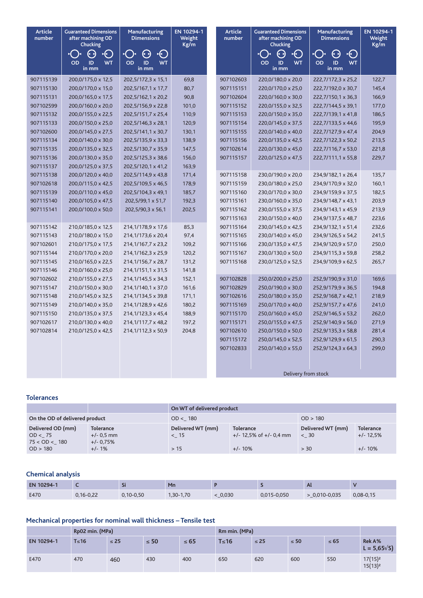| <b>Article</b><br>number | <b>Guaranteed Dimensions</b><br>after machining OD<br><b>Chucking</b> | Manufacturing<br><b>Dimensions</b>    | EN 10294-1<br>Weight<br>Kg/m |                     | <b>Article</b><br>number | <b>Guaranteed Dimensions</b><br>after machining OD<br><b>Chucking</b> | Manufacturing<br><b>Dimensions</b> | EN 10294-1<br>Weight<br>Kg/m |
|--------------------------|-----------------------------------------------------------------------|---------------------------------------|------------------------------|---------------------|--------------------------|-----------------------------------------------------------------------|------------------------------------|------------------------------|
|                          | ⊧(ৰা                                                                  | $\left( \cdot \right)$<br>$\cdot$ ( ) |                              |                     |                          | $\left( \cdot \right)$<br>$\cdot ( \cdot )$                           | -( ่<br>(* )                       |                              |
|                          | OD<br>ID<br><b>WT</b><br>in mm                                        | OD<br>ID<br><b>WT</b><br>in mm        |                              |                     |                          | <b>WT</b><br>OD<br>ID<br>in mm                                        | OD<br>ID<br><b>WT</b><br>in mm     |                              |
| 907115139                | 200,0/175,0 x 12,5                                                    | 202,5/172,3 x 15,1                    | 69,8                         |                     | 907102603                | 220,0/180,0 x 20,0                                                    | 222,7/172,3 x 25,2                 | 122,7                        |
| 907115130                | 200,0/170,0 x 15,0                                                    | 202,5/167,1 x 17,7                    | 80,7                         |                     | 907115151                | 220,0/170,0 x 25,0                                                    | 222,7/192,0 x 30,7                 | 145,4                        |
| 907115131                | 200,0/165,0 x 17,5                                                    | 202,5/162,1 x 20,2                    | 90,8                         |                     | 907102604                | 220,0/160,0 x 30,0                                                    | 222,7/150,1 x 36,3                 | 166,9                        |
| 907102599                | 200,0/160,0 x 20,0                                                    | 202,5/156,9 x 22,8                    | 101,0                        |                     | 907115152                | 220,0/155,0 x 32,5                                                    | 222,7/144,5 x 39,1                 | 177,0                        |
| 907115132                | 200,0/155,0 x 22,5                                                    | 202,5/151,7 x 25,4                    | 110,9                        |                     | 907115153                | 220,0/150,0 x 35,0                                                    | 222,7/139,1 x 41,8                 | 186,5                        |
| 907115133                | 200,0/150,0 x 25,0                                                    | 202,5/146,3 x 28,1                    | 120,9                        |                     | 907115154                | 220,0/145,0 x 37,5                                                    | 222,7/133,5 x 44,6                 | 195,9                        |
| 907102600                | 200,0/145,0 x 27,5                                                    | 202,5/141,1 x 30,7                    | 130,1                        |                     | 907115155                | 220,0/140,0 x 40,0                                                    | 222,7/127,9 x 47,4                 | 204,9                        |
| 907115134                | 200,0/140,0 x 30,0                                                    | 202,5/135,9 x 33,3                    | 138,9                        |                     | 907115156                | 220,0/135,0 x 42,5                                                    | 222,7/122,3 x 50,2                 | 213,5                        |
| 907115135                | 200,0/135,0 x 32,5                                                    | 202,5/130,7 x 35,9                    | 147,5                        |                     | 907102614                | 220,0/130,0 x 45,0                                                    | 222,7/116,7 x 53,0                 | 221,8                        |
| 907115136                | 200,0/130,0 x 35,0                                                    | 202,5/125,3 x 38,6                    | 156,0                        |                     | 907115157                | 220,0/125,0 x 47,5                                                    | 222,7/111,1 x 55,8                 | 229,7                        |
| 907115137                | 200,0/125,0 x 37,5                                                    | 202,5/120,1 x 41,2                    | 163,9                        |                     |                          |                                                                       |                                    |                              |
| 907115138                | 200,0/120,0 x 40,0                                                    | 202,5/114,9 x 43,8                    | 171,4                        |                     | 907115158                | 230,0/190,0 x 20,0                                                    | 234,9/182,1 x 26,4                 | 135,7                        |
| 907102618                | 200,0/115,0 x 42,5                                                    | 202,5/109,5 x 46,5                    | 178,9                        |                     | 907115159                | 230,0/180,0 x 25,0                                                    | 234,9/170,9 x 32,0                 | 160,1                        |
| 907115139                | 200,0/110,0 x 45,0                                                    | 202,5/104,3 x 49,1                    | 185,7                        |                     | 907115160                | 230,0/170,0 x 30,0                                                    | 234,9/159,9 x 37,5                 | 182,5                        |
| 907115140                | 200,0/105,0 x 47,5                                                    | 202,5/99,1 x 51,7                     | 192,3                        |                     | 907115161                | 230,0/160,0 x 35,0                                                    | 234,9/148,7 x 43,1                 | 203,9                        |
| 907115141                | 200,0/100,0 x 50,0                                                    | 202,5/90,3 x 56,1                     | 202,5                        |                     | 907115162                | 230,0/155,0 x 37,5                                                    | 234,9/143,1 x 45,9                 | 213,9                        |
|                          |                                                                       |                                       |                              |                     | 907115163                | 230,0/150,0 x 40,0                                                    | 234,9/137,5 x 48,7                 | 223,6                        |
| 907115142                | 210,0/185,0 x 12,5                                                    | 214,1/178,9 x 17,6                    | 85,3                         |                     | 907115164                | 230,0/145,0 x 42,5                                                    | 234,9/132,1 x 51,4                 | 232,6                        |
| 907115143                | 210,0/180,0 x 15,0                                                    | 214,1/173,6 x 20,4                    | 97,4                         |                     | 907115165                | 230,0/140,0 x 45,0                                                    | 234,9/126,5 x 54,2                 | 241,5                        |
| 907102601                | 210,0/175,0 x 17,5                                                    | 214,1/167,7 x 23,2                    | 109,2                        |                     | 907115166                | 230,0/135,0 x 47,5                                                    | 234,9/120,9 x 57,0                 | 250,0                        |
| 907115144                | 210,0/170,0 x 20,0                                                    | 214,1/162,3 x 25,9                    | 120,2                        |                     | 907115167                | 230,0/130,0 x 50,0                                                    | 234,9/115,3 x 59,8                 | 258,2                        |
| 907115145                | 210,0/165,0 x 22,5                                                    | 214, 1/156, 7 x 28, 7                 | 131,2                        |                     | 907115168                | 230,0/125,0 x 52,5                                                    | 234,9/109,9 x 62,5                 | 265,7                        |
| 907115146                | 210,0/160,0 x 25,0                                                    | 214, 1/151, 1 x 31, 5                 | 141,8                        |                     |                          |                                                                       |                                    |                              |
| 907102602                | 210,0/155,0 x 27,5                                                    | 214, 1/145, 5 x 34, 3                 | 152,1                        |                     | 907102828                | 250,0/200,0 x 25,0                                                    | 252,9/190,9 x 31,0                 | 169,6                        |
| 907115147                | 210,0/150,0 x 30,0                                                    | 214,1/140,1 x 37,0                    | 161,6                        |                     | 907102829                | 250,0/190,0 x 30,0                                                    | 252,9/179,9 x 36,5                 | 194,8                        |
| 907115148                | 210,0/145,0 x 32,5                                                    | 214,1/134,5 x 39,8                    | 171,1                        |                     | 907102616                | 250,0/180,0 x 35,0                                                    | 252,9/168,7 x 42,1                 | 218,9                        |
| 907115149                | 210,0/140,0 x 35,0                                                    | 214,1/128,9 x 42,6                    | 180,2                        |                     | 907115169                | 250,0/170,0 x 40,0                                                    | 252,9/157,7 x 47,6                 | 241,0                        |
| 907115150                | 210,0/135,0 x 37,5                                                    | 214,1/123,3 x 45,4                    | 188,9                        |                     | 907115170                | 250,0/160,0 x 45,0                                                    | 252,9/146,5 x 53,2                 | 262,0                        |
| 907102617                | 210,0/130,0 x 40,0                                                    | 214,1/117,7 x 48,2                    | 197,2                        |                     | 907115171                | 250,0/155,0 x 47,5                                                    | 252,9/140,9 x 56,0                 | 271,9                        |
| 907102814                | 210,0/125,0 x 42,5                                                    | 214,1/112,3 x 50,9                    | 204,8                        |                     | 907102610                | 250,0/150,0 x 50,0                                                    | 252,9/135,3 x 58,8                 | 281,4                        |
|                          |                                                                       |                                       |                              |                     | 907115172                | 250,0/145,0 x 52,5                                                    | 252,9/129,9 x 61,5                 | 290,3                        |
|                          |                                                                       |                                       |                              |                     | 907102833                | 250,0/140,0 x 55,0                                                    | 252,9/124,3 x 64,3                 | 299,0                        |
|                          |                                                                       |                                       |                              |                     |                          |                                                                       |                                    |                              |
|                          |                                                                       |                                       |                              |                     |                          |                                                                       |                                    |                              |
|                          |                                                                       |                                       |                              | Delivery from stock |                          |                                                                       |                                    |                              |

## **tolerances**

|                                               |                                                 | On WT of delivered product |                                                  |                           |                                 |  |  |  |  |
|-----------------------------------------------|-------------------------------------------------|----------------------------|--------------------------------------------------|---------------------------|---------------------------------|--|--|--|--|
| On the OD of delivered product                |                                                 | OD < 180                   |                                                  | OD > 180                  |                                 |  |  |  |  |
| Delivered OD (mm)<br>OD < 75<br>75 < OD < 180 | <b>Tolerance</b><br>$+/- 0.5$ mm<br>$+/- 0.75%$ | Delivered WT (mm)<br>< 15  | <b>Tolerance</b><br>$+/- 12.5\%$ of $+/- 0.4$ mm | Delivered WT (mm)<br>< 30 | <b>Tolerance</b><br>$+/- 12.5%$ |  |  |  |  |
| OD > 180                                      | $+/-1\%$                                        | >15                        | $+/- 10\%$                                       | > 30                      | $+/- 10%$                       |  |  |  |  |

# **Chemical analysis**

| EN 10294-1 |             | $\bullet$<br>ы | Mn        |       |             | $\mathbf{u}$    |             |
|------------|-------------|----------------|-----------|-------|-------------|-----------------|-------------|
| E470       | $0,16-0,22$ | $0,10-0,50$    | 1,30-1,70 | 0,030 | 0,015-0,050 | $>$ 0,010-0,035 | $0,08-0,15$ |

# Mechanical properties for nominal wall thickness - Tensile test

|            | Rp02 min. (MPa) |           |           |           | Rm min. (MPa) |           |           |           |                                   |
|------------|-----------------|-----------|-----------|-----------|---------------|-----------|-----------|-----------|-----------------------------------|
| EN 10294-1 | $T \leq 16$     | $\leq 25$ | $\leq 50$ | $\leq 65$ | $T \leq 16$   | $\leq 25$ | $\leq 50$ | $\leq 65$ | Rek A%<br>$L = 5,65\sqrt{S}$      |
| E470       | 470             | 460       | 430       | 400       | 650           | 620       | 600       | 550       | $17(15)^2$<br>15(13) <sup>2</sup> |